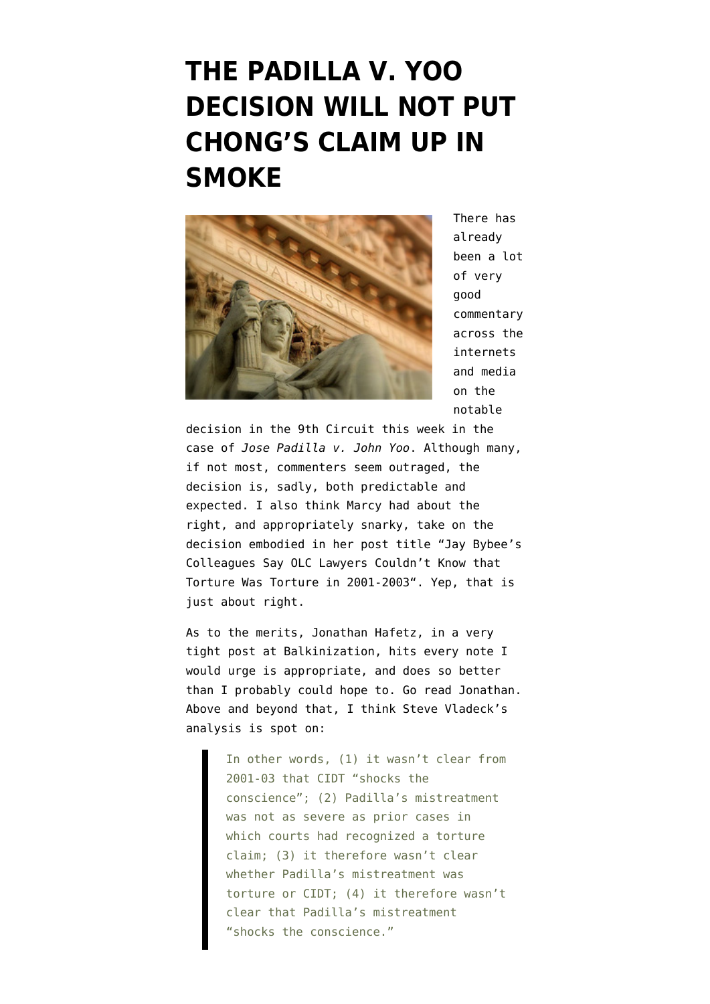## **[THE PADILLA V. YOO](https://www.emptywheel.net/2012/05/04/the-padilla-v-yoo-decision-will-not-put-chongs-claim-up-in-smoke/) [DECISION WILL NOT PUT](https://www.emptywheel.net/2012/05/04/the-padilla-v-yoo-decision-will-not-put-chongs-claim-up-in-smoke/) [CHONG'S CLAIM UP IN](https://www.emptywheel.net/2012/05/04/the-padilla-v-yoo-decision-will-not-put-chongs-claim-up-in-smoke/) [SMOKE](https://www.emptywheel.net/2012/05/04/the-padilla-v-yoo-decision-will-not-put-chongs-claim-up-in-smoke/)**



There has already been a lot of very good commentary across the internets and media on the notable

decision in the 9th Circuit this week in the case of *[Jose Padilla v. John Yoo](http://www.emptywheel.net/wp-content/uploads/2012/05/120502-Padilla-v.-Yoo-Opinion.pdf)*. Although many, if not most, commenters seem outraged, the decision is, sadly, both predictable and expected. I also think Marcy had about the right, and appropriately snarky, take on the decision embodied in her post title ["Jay Bybee's](http://www.emptywheel.net/2012/05/02/jay-bybees-colleagues-say-olc-lawyers-couldnt-know-that-torture-was-torture-in-2001-2003/) [Colleagues Say OLC Lawyers Couldn't Know that](http://www.emptywheel.net/2012/05/02/jay-bybees-colleagues-say-olc-lawyers-couldnt-know-that-torture-was-torture-in-2001-2003/) [Torture Was Torture in 2001-2003"](http://www.emptywheel.net/2012/05/02/jay-bybees-colleagues-say-olc-lawyers-couldnt-know-that-torture-was-torture-in-2001-2003/). Yep, that is just about right.

As to the merits, Jonathan Hafetz, in a [very](http://balkin.blogspot.com/2012/05/ninth-circuits-dismissal-in-padilla.html) [tight post at Balkinization](http://balkin.blogspot.com/2012/05/ninth-circuits-dismissal-in-padilla.html), hits every note I would urge is appropriate, and does so better than I probably could hope to. Go read [Jonathan.](http://balkin.blogspot.com/2012/05/ninth-circuits-dismissal-in-padilla.html) Above and beyond that, I think [Steve Vladeck's](http://www.lawfareblog.com/2012/05/why-padilla-should-bother-you-if-not-yoo/) [analysis](http://www.lawfareblog.com/2012/05/why-padilla-should-bother-you-if-not-yoo/) is spot on:

> In other words, (1) it wasn't clear from 2001-03 that CIDT "shocks the conscience"; (2) Padilla's mistreatment was not as severe as prior cases in which courts had recognized a torture claim; (3) it therefore wasn't clear whether Padilla's mistreatment was torture or CIDT; (4) it therefore wasn't clear that Padilla's mistreatment "shocks the conscience."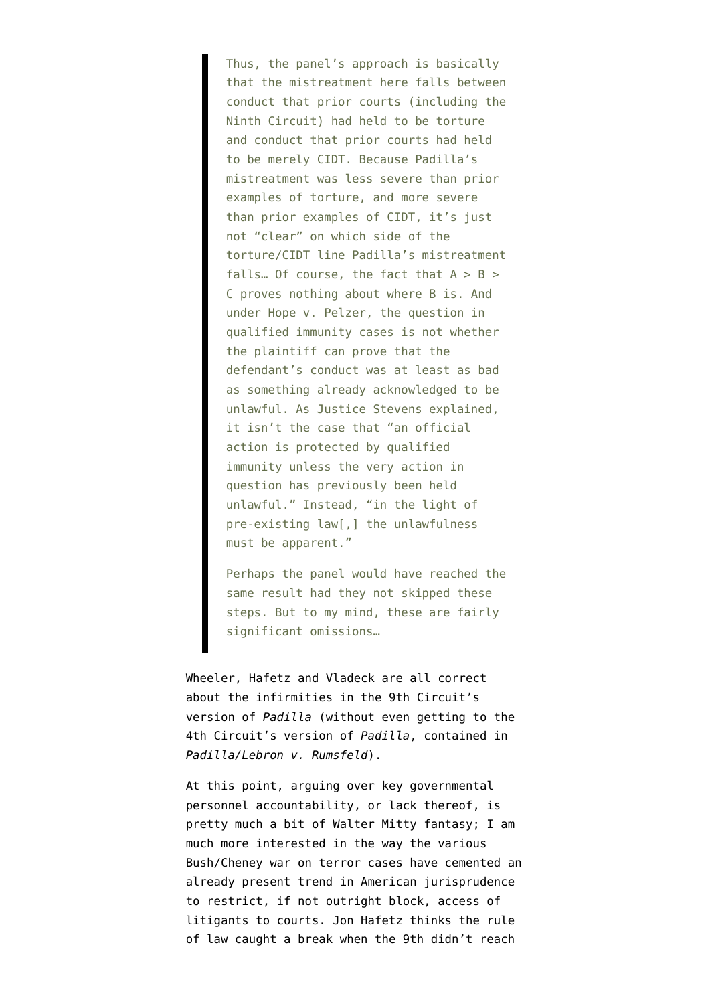Thus, the panel's approach is basically that the mistreatment here falls between conduct that prior courts (including the Ninth Circuit) had held to be torture and conduct that prior courts had held to be merely CIDT. Because Padilla's mistreatment was less severe than prior examples of torture, and more severe than prior examples of CIDT, it's just not "clear" on which side of the torture/CIDT line Padilla's mistreatment falls... Of course, the fact that  $A > B >$ C proves nothing about where B is. And under Hope v. Pelzer, the question in qualified immunity cases is not whether the plaintiff can prove that the defendant's conduct was at least as bad as something already acknowledged to be unlawful. As Justice Stevens explained, it isn't the case that "an official action is protected by qualified immunity unless the very action in question has previously been held unlawful." Instead, "in the light of pre-existing law[,] the unlawfulness must be apparent."

Perhaps the panel would have reached the same result had they not skipped these steps. But to my mind, these are fairly significant omissions…

Wheeler, Hafetz and Vladeck are all correct about the infirmities in the 9th Circuit's version of *Padilla* (without even getting to the 4th Circuit's version of *Padilla*, contained in *[Padilla/Lebron v. Rumsfeld](http://pacer.ca4.uscourts.gov/opinion.pdf/116480.P.pdf)*).

At this point, arguing over key governmental personnel accountability, or lack thereof, is pretty much a bit of Walter Mitty fantasy; I am much more interested in the way the various Bush/Cheney war on terror cases have cemented an already present trend in American jurisprudence to restrict, if not outright block, access of litigants to courts. Jon Hafetz thinks the rule of law caught a break when the 9th didn't reach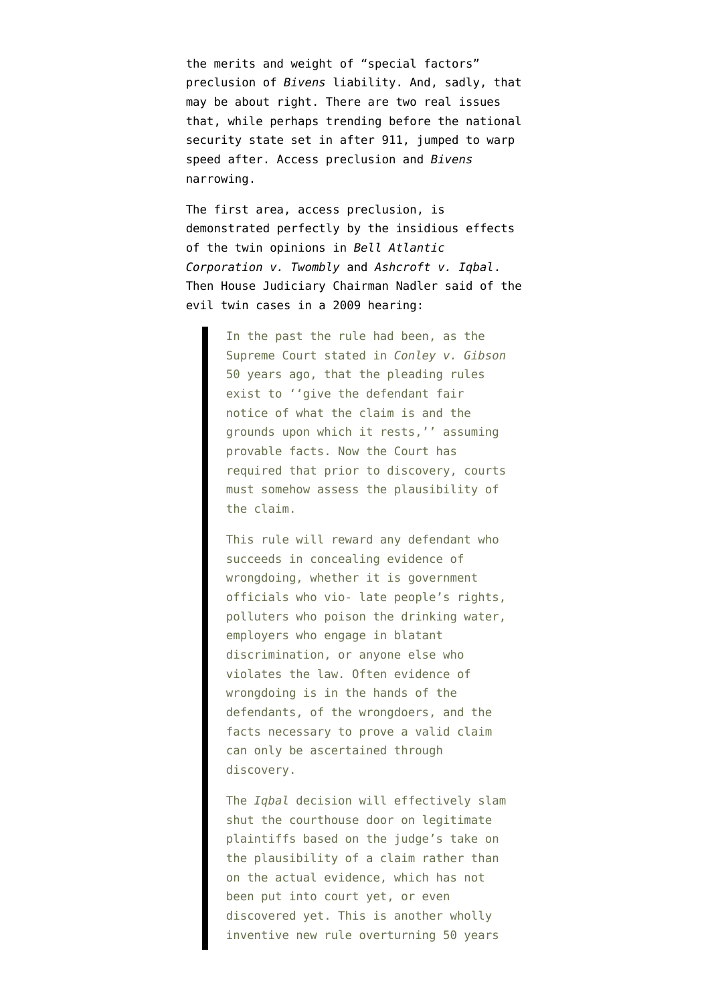the merits and weight of "special factors" preclusion of *Bivens* liability. And, sadly, that may be about right. There are two real issues that, while perhaps trending before the national security state set in after 911, jumped to warp speed after. Access preclusion and *Bivens* narrowing.

The first area, access preclusion, is demonstrated perfectly by the insidious effects of the twin opinions in *[Bell Atlantic](http://www.law.cornell.edu/supct/html/05-1126.ZS.html) [Corporation v. Twombly](http://www.law.cornell.edu/supct/html/05-1126.ZS.html)* and *[Ashcroft v. Iqbal](http://www.law.cornell.edu/supct/html/07-1015.ZS.html)*. Then House Judiciary Chairman Nadler said of the evil twin cases [in a 2009 hearing:](http://judiciary.house.gov/hearings/printers/111th/111-36_53090.PDF)

> In the past the rule had been, as the Supreme Court stated in *Conley v. Gibson* 50 years ago, that the pleading rules exist to ''give the defendant fair notice of what the claim is and the grounds upon which it rests,'' assuming provable facts. Now the Court has required that prior to discovery, courts must somehow assess the plausibility of the claim.

> This rule will reward any defendant who succeeds in concealing evidence of wrongdoing, whether it is government officials who vio- late people's rights, polluters who poison the drinking water, employers who engage in blatant discrimination, or anyone else who violates the law. Often evidence of wrongdoing is in the hands of the defendants, of the wrongdoers, and the facts necessary to prove a valid claim can only be ascertained through discovery.

> The *Iqbal* decision will effectively slam shut the courthouse door on legitimate plaintiffs based on the judge's take on the plausibility of a claim rather than on the actual evidence, which has not been put into court yet, or even discovered yet. This is another wholly inventive new rule overturning 50 years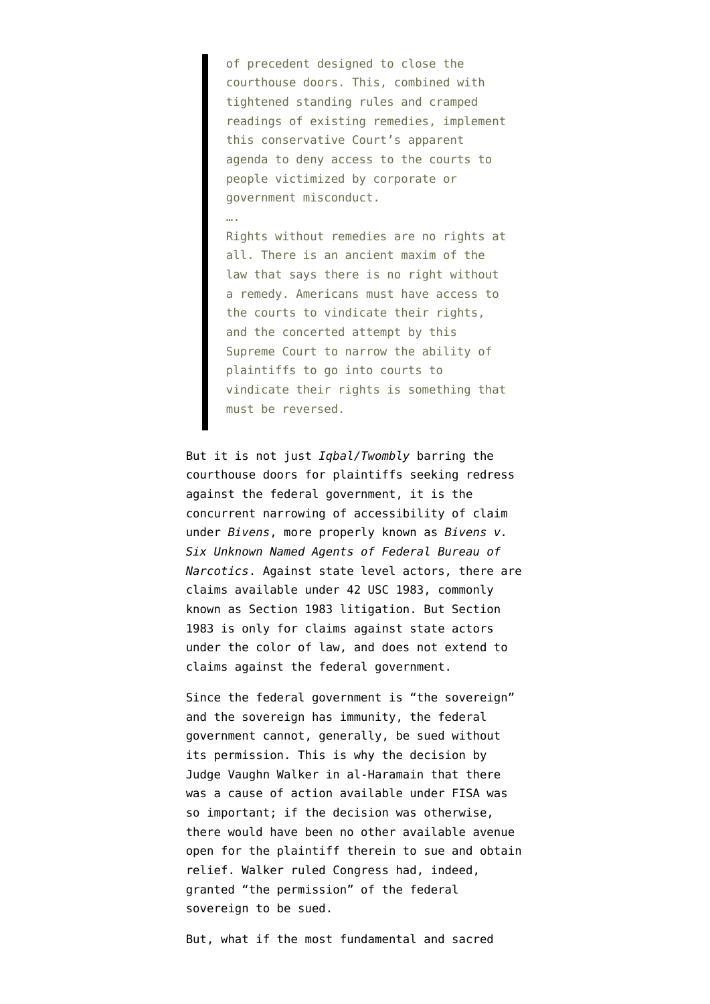of precedent designed to close the courthouse doors. This, combined with tightened standing rules and cramped readings of existing remedies, implement this conservative Court's apparent agenda to deny access to the courts to people victimized by corporate or government misconduct.

….

Rights without remedies are no rights at all. There is an ancient maxim of the law that says there is no right without a remedy. Americans must have access to the courts to vindicate their rights, and the concerted attempt by this Supreme Court to narrow the ability of plaintiffs to go into courts to vindicate their rights is something that must be reversed.

But it is not just *Iqbal/Twombly* barring the courthouse doors for plaintiffs seeking redress against the federal government, it is the concurrent narrowing of accessibility of claim under *Bivens*, more properly known as *[Bivens v.](http://en.wikipedia.org/wiki/Bivens_v._Six_Unknown_Named_Agents) [Six Unknown Named Agents of Federal Bureau of](http://en.wikipedia.org/wiki/Bivens_v._Six_Unknown_Named_Agents) [Narcotics](http://en.wikipedia.org/wiki/Bivens_v._Six_Unknown_Named_Agents)*. Against state level actors, there are claims available under 42 USC 1983, commonly known as [Section 1983 litigation.](http://law.lexisnexis.com/infopro/zimmermans/disp.aspx?z=1919) But Section 1983 is only for claims against state actors under the color of law, and does not extend to claims against the federal government.

Since the federal government is "the sovereign" and the sovereign has immunity, the federal government cannot, generally, be sued without its permission. This is why the [decision by](http://www.emptywheel.net/2010/03/31/breaking-judge-walker-finds-al-haramain-has-standing/) [Judge Vaughn Walker in al-Haramain](http://www.emptywheel.net/2010/03/31/breaking-judge-walker-finds-al-haramain-has-standing/) that there was a cause of action available under FISA was so important; if the decision was otherwise, there would have been no other available avenue open for the plaintiff therein to sue and obtain relief. Walker ruled Congress had, indeed, granted "the permission" of the federal sovereign to be sued.

But, what if the most fundamental and sacred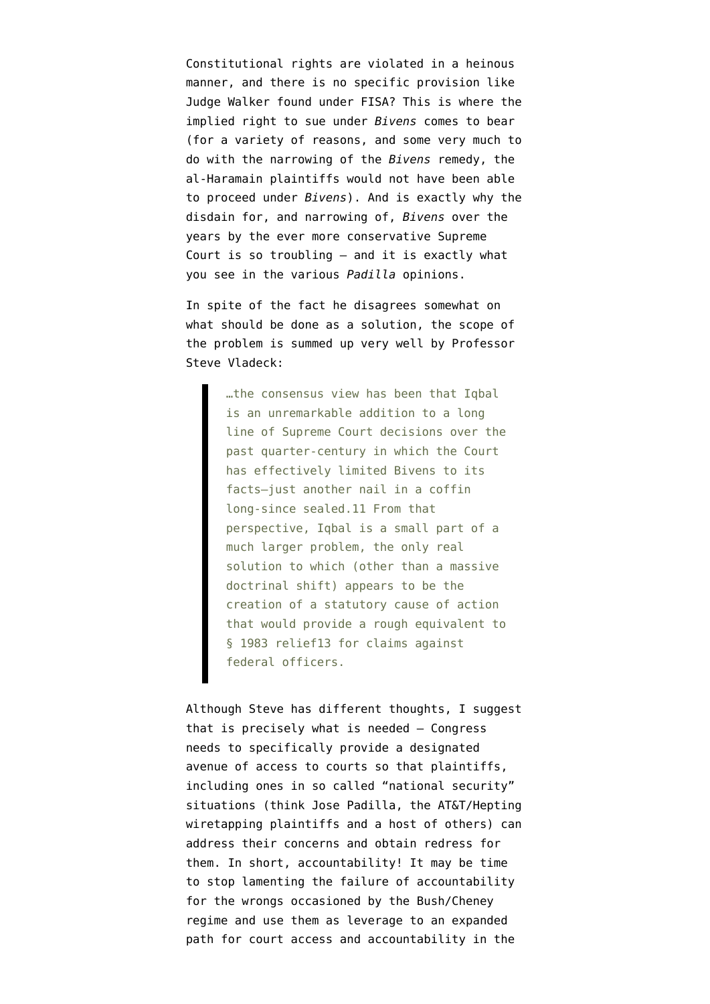Constitutional rights are violated in a heinous manner, and there is no specific provision like Judge Walker found under FISA? This is where the implied right to sue under *Bivens* comes to bear (for a variety of reasons, and some very much to do with the narrowing of the *Bivens* remedy, the al-Haramain plaintiffs would not have been able to proceed under *Bivens*). And is exactly why the disdain for, and narrowing of, *Bivens* over the years by the ever more conservative Supreme Court is so troubling – and it is exactly what you see in the various *Padilla* opinions.

In spite of the fact he disagrees somewhat on what should be done as a solution, the scope of the problem is summed up very well by [Professor](http://prawfsblawg.blogs.com/files/lclr-ii----bivens-after-iqbal.pdf) [Steve Vladeck](http://prawfsblawg.blogs.com/files/lclr-ii----bivens-after-iqbal.pdf):

> …the consensus view has been that Iqbal is an unremarkable addition to a long line of Supreme Court decisions over the past quarter-century in which the Court has effectively limited Bivens to its facts—just another nail in a coffin long-since sealed.11 From that perspective, Iqbal is a small part of a much larger problem, the only real solution to which (other than a massive doctrinal shift) appears to be the creation of a statutory cause of action that would provide a rough equivalent to § 1983 relief13 for claims against federal officers.

Although Steve has different thoughts, I suggest that is precisely what is needed – Congress needs to specifically provide a designated avenue of access to courts so that plaintiffs, including ones in so called "national security" situations (think Jose Padilla, the AT&T/Hepting wiretapping plaintiffs and a host of others) can address their concerns and obtain redress for them. In short, accountability! It may be time to stop lamenting the failure of accountability for the wrongs occasioned by the Bush/Cheney regime and use them as leverage to an expanded path for court access and accountability in the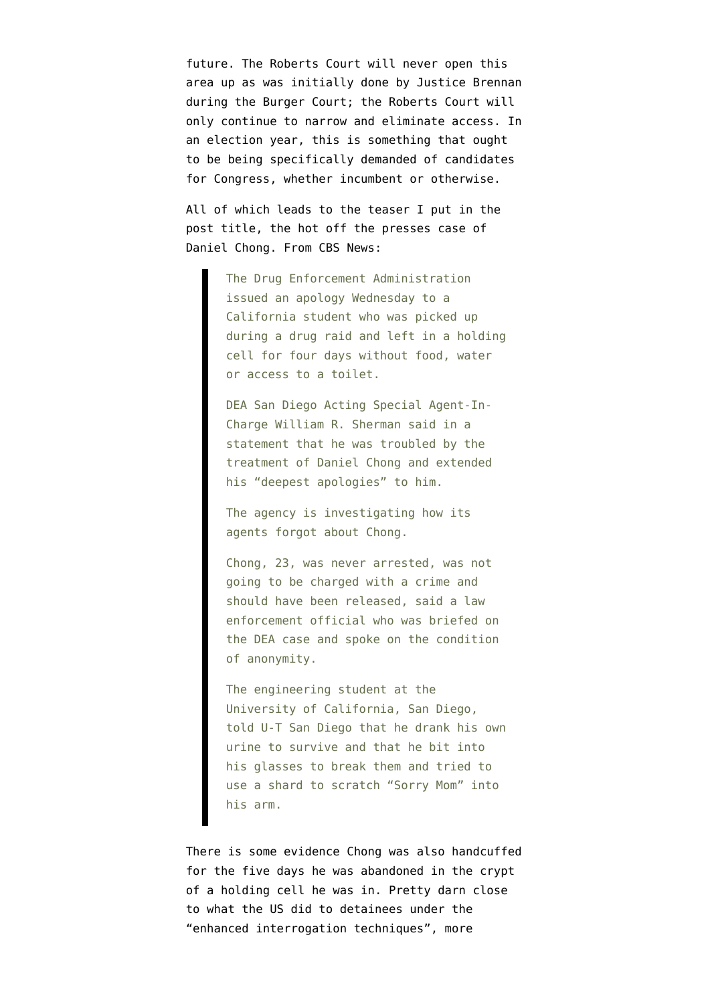future. The Roberts Court will never open this area up as was initially done by Justice Brennan during the Burger Court; the Roberts Court will only continue to narrow and eliminate access. In an election year, this is something that ought to be being specifically demanded of candidates for Congress, whether incumbent or otherwise.

All of which leads to the teaser I put in the post title, the hot off the presses case of Daniel Chong. From [CBS News](http://www.cbsnews.com/8301-201_162-57426015/student-daniel-chong-reportedly-drank-urine-to-survive-5-days-while-forgotten-in-dea-holding-cell/):

> The Drug Enforcement Administration issued an apology Wednesday to a California student who was picked up during a drug raid and left in a holding cell for four days without food, water or access to a toilet.

DEA San Diego Acting Special Agent-In-Charge William R. Sherman said in a statement that he was troubled by the treatment of Daniel Chong and extended his "deepest apologies" to him.

The agency is investigating how its agents forgot about Chong.

Chong, 23, was never arrested, was not going to be charged with a crime and should have been released, said a law enforcement official who was briefed on the DEA case and spoke on the condition of anonymity.

The engineering student at the University of California, San Diego, told U-T San Diego that he drank his own urine to survive and that he bit into his glasses to break them and tried to use a shard to scratch "Sorry Mom" into his arm.

There is some evidence Chong was also handcuffed for the five days he was abandoned in the crypt of a holding cell he was in. Pretty darn close to what the US did to detainees under the "enhanced interrogation techniques", more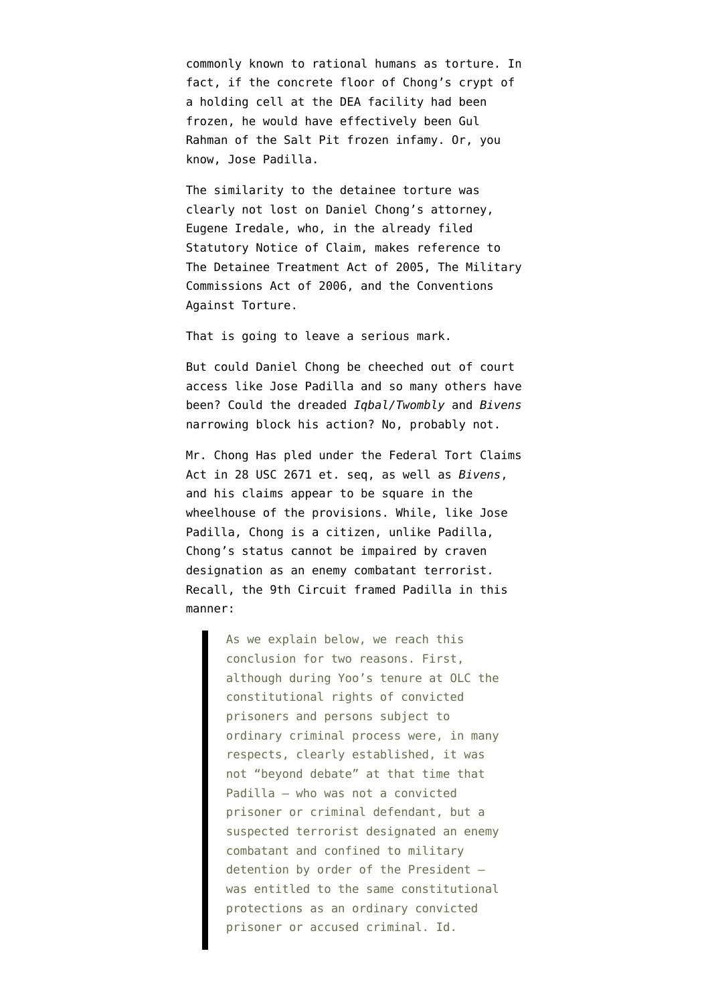commonly known to rational humans as torture. In fact, if the concrete floor of Chong's crypt of a holding cell at the DEA facility had been frozen, he would have effectively been [Gul](http://www.emptywheel.net/2010/04/04/how-cia-avoided-negligent-homicide-charges-in-the-salt-pit-killing/) [Rahman of the Salt Pit frozen infamy](http://www.emptywheel.net/2010/04/04/how-cia-avoided-negligent-homicide-charges-in-the-salt-pit-killing/). Or, you know, Jose Padilla.

The similarity to the detainee torture was clearly not lost on Daniel Chong's attorney, Eugene Iredale, who, in the already filed [Statutory Notice of Claim,](http://www.emptywheel.net/wp-content/uploads/2012/05/chongclaim.pdf) makes reference to The Detainee Treatment Act of 2005, The Military Commissions Act of 2006, and the Conventions Against Torture.

That is going to leave a serious mark.

But could Daniel Chong be cheeched out of court access like Jose Padilla and so many others have been? Could the dreaded *Iqbal/Twombly* and *Bivens* narrowing block his action? No, probably not.

Mr. Chong Has pled under the Federal Tort Claims Act in [28 USC 2671 et. seq,](http://www.law.cornell.edu/uscode/text/28/part-VI/chapter-171) as well as *Bivens*, and his claims appear to be square in the wheelhouse of the provisions. While, like Jose Padilla, Chong is a citizen, unlike Padilla, Chong's status cannot be impaired by craven designation as an enemy combatant terrorist. Recall, the 9th Circuit framed Padilla in this manner:

> As we explain below, we reach this conclusion for two reasons. First, although during Yoo's tenure at OLC the constitutional rights of convicted prisoners and persons subject to ordinary criminal process were, in many respects, clearly established, it was not "beyond debate" at that time that Padilla — who was not a convicted prisoner or criminal defendant, but a suspected terrorist designated an enemy combatant and confined to military detention by order of the President was entitled to the same constitutional protections as an ordinary convicted prisoner or accused criminal. Id.